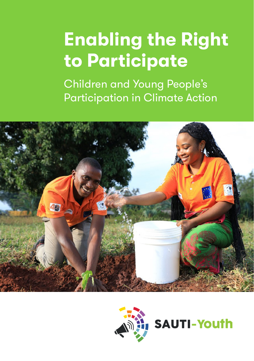# **Enabling the Right to Participate**

Children and Young People's Participation in Climate Action





**SAUTI-Youth**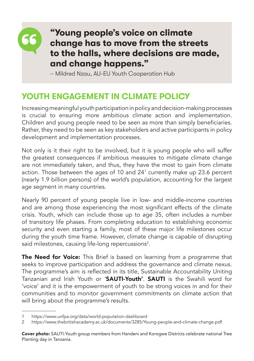

## **"Young people's voice on climate change has to move from the streets to the halls, where decisions are made, and change happens."**

– Mildred Nzau, AU-EU Youth Cooperation Hub

## **YOUTH ENGAGEMENT IN CLIMATE POLICY**

Increasing meaningful youth participation in policy and decision-making processes is crucial to ensuring more ambitious climate action and implementation. Children and young people need to be seen as more than simply beneficiaries. Rather, they need to be seen as key stakeholders and active participants in policy development and implementation processes.

Not only is it their right to be involved, but it is young people who will suffer the greatest consequences if ambitious measures to mitigate climate change are not immediately taken, and thus, they have the most to gain from climate action. Those between the ages of 10 and 241 currently make up 23.6 percent (nearly 1.9 billion persons) of the world's population, accounting for the largest age segment in many countries.

Nearly 90 percent of young people live in low- and middle-income countries and are among those experiencing the most significant effects of the climate crisis. Youth, which can include those up to age 35, often includes a number of transitory life phases. From completing education to establishing economic security and even starting a family, most of these major life milestones occur during the youth time frame. However, climate change is capable of disrupting said milestones, causing life-long repercussions<sup>2</sup>.

The Need for Voice: This Brief is based on learning from a programme that seeks to improve participation and address the governance and climate nexus. The programme's aim is reflected in its title, Sustainable Accountability Uniting Tanzanian and Irish Youth or '**SAUTI-Youth'. SAUTI** is the Swahili word for 'voice' and it is the empowerment of youth to be strong voices in and for their communities and to monitor government commitments on climate action that will bring about the programme's results.

<sup>1</sup> https://www.unfpa.org/data/world-population-dashboard

<sup>2</sup> https://www.thebritishacademy.ac.uk/documents/3285/Young-people-and-climate-change.pdf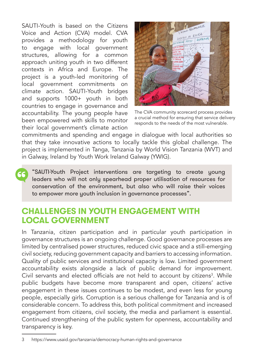SAUTI-Youth is based on the Citizens Voice and Action (CVA) model. CVA provides a methodology for youth to engage with local government structures, allowing for a common approach uniting youth in two different contexts in Africa and Europe. The project is a youth-led monitoring of local government commitments on climate action. SAUTI-Youth bridges and supports 1000+ youth in both countries to engage in governance and accountability. The young people have been empowered with skills to monitor their local government's climate action



The CVA community scorecard process provides a crucial method for ensuring that service delivery responds to the needs of the most vulnerable.

commitments and spending and engage in dialogue with local authorities so that they take innovative actions to locally tackle this global challenge. The project is implemented in Tanga, Tanzania by World Vision Tanzania (WVT) and in Galway, Ireland by Youth Work Ireland Galway (YWIG).

"SAUTI-Youth Project interventions are targeting to create young leaders who will not only spearhead proper utilisation of resources for conservation of the environment, but also who will raise their voices to empower more youth inclusion in governance processes".

#### **CHALLENGES IN YOUTH ENGAGEMENT WITH LOCAL GOVERNMENT**

In Tanzania, citizen participation and in particular youth participation in governance structures is an ongoing challenge. Good governance processes are limited by centralised power structures, reduced civic space and a still-emerging civil society, reducing government capacity and barriers to accessing information. Quality of public services and institutional capacity is low. Limited government accountability exists alongside a lack of public demand for improvement. Civil servants and elected officials are not held to account by citizens<sup>3</sup>. While public budgets have become more transparent and open, citizens' active engagement in these issues continues to be modest, and even less for young people, especially girls. Corruption is a serious challenge for Tanzania and is of considerable concern. To address this, both political commitment and increased engagement from citizens, civil society, the media and parliament is essential. Continued strengthening of the public system for openness, accountability and transparency is key.

<sup>3</sup> https://www.usaid.gov/tanzania/democracy-human-rights-and-governance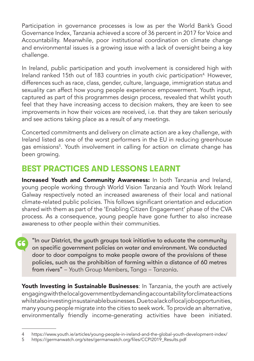Participation in governance processes is low as per the World Bank's Good Governance Index, Tanzania achieved a score of 36 percent in 2017 for Voice and Accountability. Meanwhile, poor institutional coordination on climate change and environmental issues is a growing issue with a lack of oversight being a key challenge.

In Ireland, public participation and youth involvement is considered high with Ireland ranked 15th out of 183 countries in youth civic participation<sup>4</sup> However, differences such as race, class, gender, culture, language, immigration status and sexuality can affect how young people experience empowerment. Youth input, captured as part of this programmes design process, revealed that whilst youth feel that they have increasing access to decision makers, they are keen to see improvements in how their voices are received, i.e. that they are taken seriously and see actions taking place as a result of any meetings.

Concerted commitments and delivery on climate action are a key challenge, with Ireland listed as one of the worst performers in the EU in reducing greenhouse gas emissions<sup>5</sup>. Youth involvement in calling for action on climate change has been growing.

## **BEST PRACTICES AND LESSONS LEARNT**

Increased Youth and Community Awareness: In both Tanzania and Ireland, young people working through World Vision Tanzania and Youth Work Ireland Galway respectively noted an increased awareness of their local and national climate-related public policies. This follows significant orientation and education shared with them as part of the 'Enabling Citizen Engagement' phase of the CVA process. As a consequence, young people have gone further to also increase awareness to other people within their communities.

"In our District, the youth groups took initiative to educate the community on specific government policies on water and environment. We conducted door to door campaigns to make people aware of the provisions of these policies, such as the prohibition of farming within a distance of 60 metres from rivers" – Youth Group Members, Tanga – Tanzania.

Youth Investing in Sustainable Businesses: In Tanzania, the youth are actively engaging with the local government by demanding accountability for climate actions whilstalso investing in sustainable businesses. Due to a lack of local job opportunities, many young people migrate into the cities to seek work. To provide an alternative, environmentally friendly income-generating activities have been initiated.

<sup>4</sup> https://www.youth.ie/articles/young-people-in-ireland-and-the-global-youth-development-index/

<sup>5</sup> https://germanwatch.org/sites/germanwatch.org/files/CCPI2019\_Results.pdf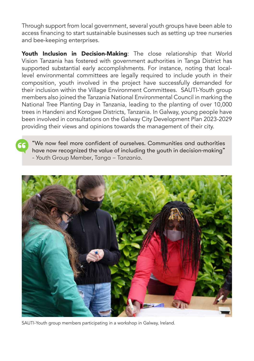Through support from local government, several youth groups have been able to access financing to start sustainable businesses such as setting up tree nurseries and bee-keeping enterprises.

Youth Inclusion in Decision-Making: The close relationship that World Vision Tanzania has fostered with government authorities in Tanga District has supported substantial early accomplishments. For instance, noting that locallevel environmental committees are legally required to include youth in their composition, youth involved in the project have successfully demanded for their inclusion within the Village Environment Committees. SAUTI-Youth group members also joined the Tanzania National Environmental Council in marking the National Tree Planting Day in Tanzania, leading to the planting of over 10,000 trees in Handeni and Korogwe Districts, Tanzania. In Galway, young people have been involved in consultations on the Galway City Development Plan 2023-2029 providing their views and opinions towards the management of their city.

"We now feel more confident of ourselves. Communities and authorities have now recognized the value of including the youth in decision-making" - Youth Group Member, Tanga – Tanzania.



SAUTI-Youth group members participating in a workshop in Galway, Ireland.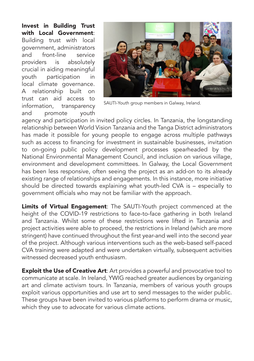Invest in Building Trust with Local Government: Building trust with local government, administrators and front-line service providers is absolutely crucial in aiding meaningful youth participation in local climate governance. A relationship built on trust can aid access to information, transparency and promote youth



SAUTI-Youth group members in Galway, Ireland.

agency and participation in invited policy circles. In Tanzania, the longstanding relationship between World Vision Tanzania and the Tanga District administrators has made it possible for young people to engage across multiple pathways such as access to financing for investment in sustainable businesses, invitation to on-going public policy development processes spearheaded by the National Environmental Management Council, and inclusion on various village, environment and development committees. In Galway, the Local Government has been less responsive, often seeing the project as an add-on to its already existing range of relationships and engagements. In this instance, more initiative should be directed towards explaining what youth-led CVA is – especially to government officials who may not be familiar with the approach.

Limits of Virtual Engagement: The SAUTI-Youth project commenced at the height of the COVID-19 restrictions to face-to-face gathering in both Ireland and Tanzania. Whilst some of these restrictions were lifted in Tanzania and project activities were able to proceed, the restrictions in Ireland (which are more stringent) have continued throughout the first year-and well into the second year of the project. Although various interventions such as the web-based self-paced CVA training were adapted and were undertaken virtually, subsequent activities witnessed decreased youth enthusiasm.

**Exploit the Use of Creative Art:** Art provides a powerful and provocative tool to communicate at scale. In Ireland, YWIG reached greater audiences by organizing art and climate activism tours. In Tanzania, members of various youth groups exploit various opportunities and use art to send messages to the wider public. These groups have been invited to various platforms to perform drama or music, which they use to advocate for various climate actions.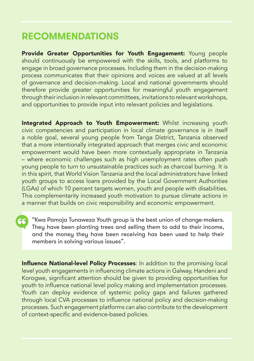# **RECOMMENDATIONS**

Provide Greater Opportunities for Youth Engagement: Young people should continuously be empowered with the skills, tools, and platforms to engage in broad governance processes. Including them in the decision-making process communicates that their opinions and voices are valued at all levels of governance and decision-making. Local and national governments should therefore provide greater opportunities for meaningful youth engagement through their inclusion in relevant committees, invitations to relevant workshops, and opportunities to provide input into relevant policies and legislations.

Integrated Approach to Youth Empowerment: Whilst increasing youth civic competencies and participation in local climate governance is in itself a noble goal, several young people from Tanga District, Tanzania observed that a more intentionally integrated approach that merges civic and economic empowerment would have been more contextually appropriate in Tanzania – where economic challenges such as high unemployment rates often push young people to turn to unsustainable practices such as charcoal burning. It is in this spirit, that World Vision Tanzania and the local administrators have linked youth groups to access loans provided by the Local Government Authorities (LGAs) of which 10 percent targets women, youth and people with disabilities. This complementarity increased youth motivation to pursue climate actions in a manner that builds on civic responsibility and economic empowerment.

"Kwa Pamoja Tunaweza Youth group is the best union of change-makers. They have been planting trees and selling them to add to their income, and the money they have been receiving has been used to help their members in solving various issues".

Influence National-level Policy Processes: In addition to the promising local level youth engagements in influencing climate actions in Galway, Handeni and Korogwe, significant attention should be given to providing opportunities for youth to influence national level policy making and implementation processes. Youth can deploy evidence of systemic policy gaps and failures gathered through local CVA processes to influence national policy and decision-making processes. Such engagement platforms can also contribute to the development of context-specific and evidence-based policies.